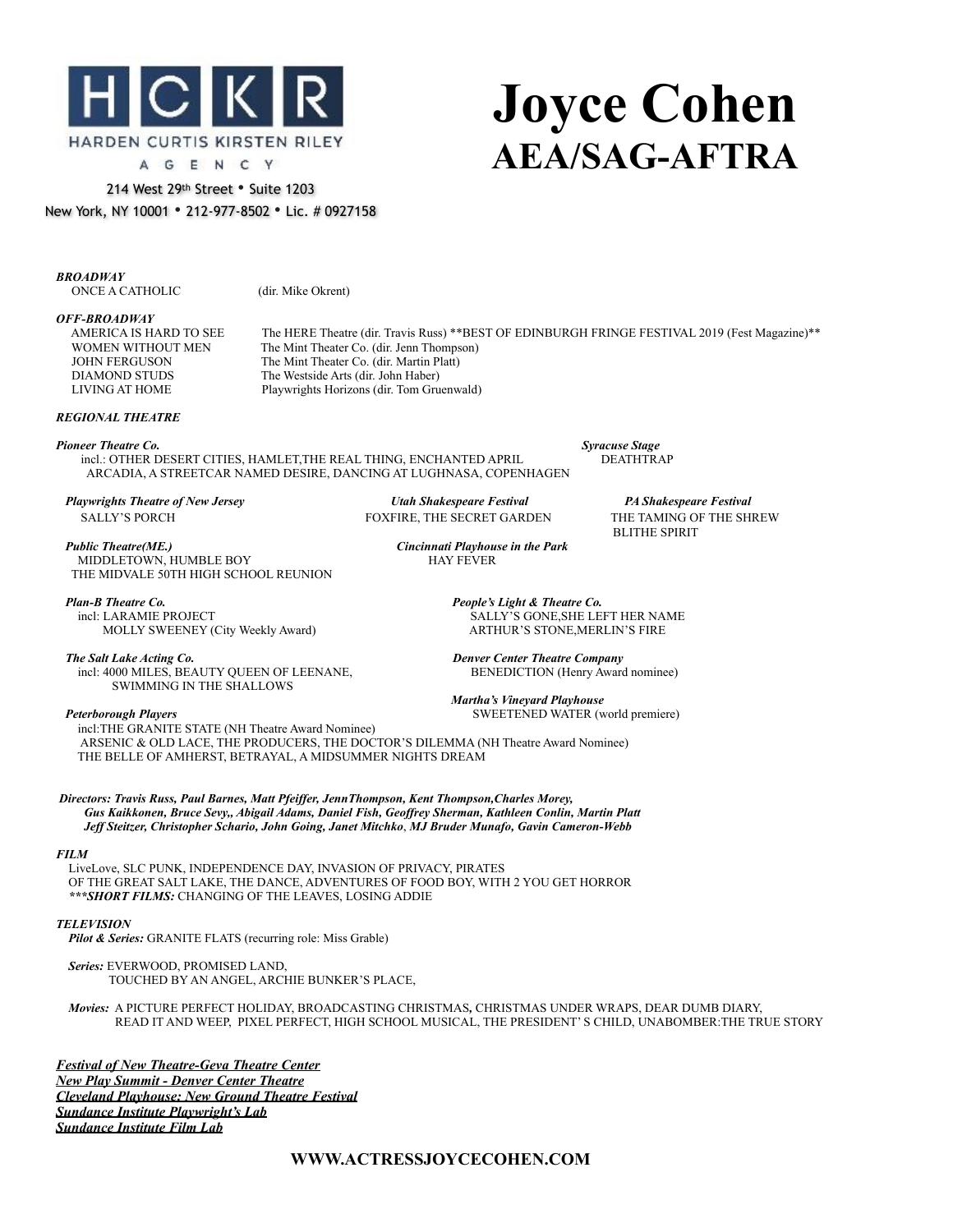

# **Joyce Cohen AEA/SAG-AFTRA**

214 West 29th Street • Suite 1203 New York, NY 10001 • 212-977-8502 • Lic. # 0927158

*BROADWAY* **ONCE A CATHOLIC** (dir. Mike Okrent)

*OFF-BROADWAY*

The HERE Theatre (dir. Travis Russ) \*\* BEST OF EDINBURGH FRINGE FESTIVAL 2019 (Fest Magazine)\*\* WOMEN WITHOUT MEN The Mint Theater Co. (dir. Jenn Thompson)<br>JOHN FERGUSON The Mint Theater Co. (dir. Martin Platt) **JOHN FERGUSON** The Mint Theater Co. (dir. Martin Platt)<br>DIAMOND STUDS The Westside Arts (dir. John Haber) The Westside Arts (dir. John Haber) LIVING AT HOME Playwrights Horizons (dir. Tom Gruenwald)

## *REGIONAL THEATRE*

*Pioneer Theatre Co. Syracuse Stage incl.: OTHER DESERT CITIES, HAMLET,THE REAL THING, ENCHANTED APRIL* ARCADIA, A STREETCAR NAMED DESIRE, DANCING AT LUGHNASA, COPENHAGEN

**MIDDLETOWN, HUMBLE BOY** 

 *Playwrights Theatre of New Jersey Utah Shakespeare Festival PA Shakespeare Festival*  **SALLY'S PORCH FOXFIRE, THE SECRET GARDEN THE TAMING OF THE SHREW** 

BLITHE SPIRIT *Public Theatre(ME.) Cincinnati Playhouse in the Park*

 THE MIDVALE 50TH HIGH SCHOOL REUNION  *Plan-B Theatre Co. People's Light & Theatre Co.*

MOLLY SWEENEY (City Weekly Award)

 *The Salt Lake Acting Co. Denver Center Theatre Company* incl: 4000 MILES, BEAUTY QUEEN OF LEENANE, BENEDICTION (Henry Award nominee) SWIMMING IN THE SHALLOWS

SALLY'S GONE, SHE LEFT HER NAME ARTHUR'S STONE, MERLIN'S FIRE

 *Martha's Vineyard Playhouse Peterborough Players* SWEETENED WATER (world premiere)

incl:THE GRANITE STATE (NH Theatre Award Nominee) ARSENIC & OLD LACE, THE PRODUCERS, THE DOCTOR'S DILEMMA (NH Theatre Award Nominee) THE BELLE OF AMHERST, BETRAYAL, A MIDSUMMER NIGHTS DREAM

*Directors: Travis Russ, Paul Barnes, Matt Pfeiffer, JennThompson, Kent Thompson,Charles Morey, Gus Kaikkonen, Bruce Sevy,, Abigail Adams, Daniel Fish, Geoffrey Sherman, Kathleen Conlin, Martin Platt Jeff Steitzer, Christopher Schario, John Going, Janet Mitchko*, *MJ Bruder Munafo, Gavin Cameron-Webb*

## *FILM*

LiveLove, SLC PUNK, INDEPENDENCE DAY, INVASION OF PRIVACY, PIRATES OF THE GREAT SALT LAKE, THE DANCE, ADVENTURES OF FOOD BOY, WITH 2 YOU GET HORROR  *\*\*\*SHORT FILMS:* CHANGING OF THE LEAVES, LOSING ADDIE

## *TELEVISION*

 *Pilot & Series:* GRANITE FLATS (recurring role: Miss Grable)

 *Series:* EVERWOOD, PROMISED LAND, TOUCHED BY AN ANGEL, ARCHIE BUNKER'S PLACE,

 *Movies:* A PICTURE PERFECT HOLIDAY, BROADCASTING CHRISTMAS*,* CHRISTMAS UNDER WRAPS, DEAR DUMB DIARY, READ IT AND WEEP, PIXEL PERFECT, HIGH SCHOOL MUSICAL, THE PRESIDENT' S CHILD, UNABOMBER:THE TRUE STORY

*Festival of New Theatre-Geva Theatre Center New Play Summit - Denver Center Theatre Cleveland Playhouse: New Ground Theatre Festival Sundance Institute Playwright's Lab Sundance Institute Film Lab*

## **WWW.ACTRESSJOYCECOHEN.COM**